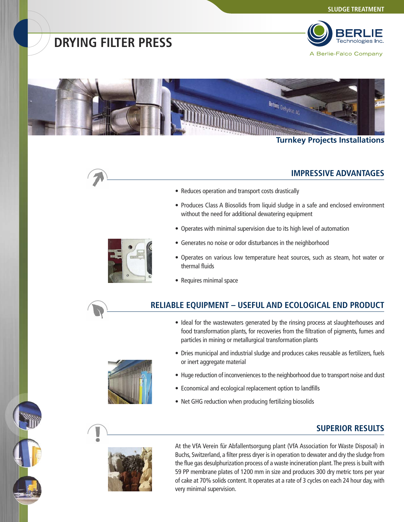## **DRYING FILTER PRESS**



A Berlie-Falco Company



#### **Turnkey Projects Installations**

#### **IMPRESSIVE ADVANTAGES**

- Reduces operation and transport costs drastically
- Produces Class A Biosolids from liquid sludge in a safe and enclosed environment without the need for additional dewatering equipment
- Operates with minimal supervision due to its high level of automation
- Generates no noise or odor disturbances in the neighborhood
- Operates on various low temperature heat sources, such as steam, hot water or thermal fluids
- Requires minimal space

### **RELIABLE EQUIPMENT – USEFUL AND ECOLOGICAL END PRODUCT**

- Ideal for the wastewaters generated by the rinsing process at slaughterhouses and food transformation plants, for recoveries from the filtration of pigments, fumes and particles in mining or metallurgical transformation plants
- Dries municipal and industrial sludge and produces cakes reusable as fertilizers, fuels or inert aggregate material
- Huge reduction of inconveniences to the neighborhood due to transport noise and dust
- Economical and ecological replacement option to landfills
- Net GHG reduction when producing fertilizing biosolids

### **SUPERIOR RESULTS**



At the VfA Verein für Abfallentsorgung plant (VfA Association for Waste Disposal) in Buchs, Switzerland, a filter press dryer is in operation to dewater and dry the sludge from the flue gas desulphurization process of a waste incineration plant. The press is built with 59 PP membrane plates of 1200 mm in size and produces 300 dry metric tons per year of cake at 70% solids content. It operates at a rate of 3 cycles on each 24 hour day, with very minimal supervision.